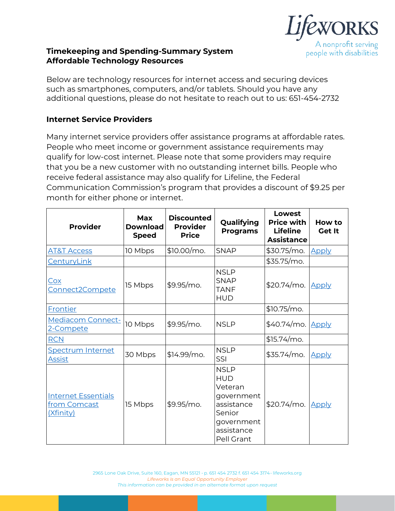

## **Timekeeping and Spending-Summary System Affordable Technology Resources**

Below are technology resources for internet access and securing devices such as smartphones, computers, and/or tablets. Should you have any additional questions, please do not hesitate to reach out to us: 651-454-2732

## **Internet Service Providers**

Many internet service providers offer assistance programs at affordable rates. People who meet income or government assistance requirements may qualify for low-cost internet. Please note that some providers may require that you be a new customer with no outstanding internet bills. People who receive federal assistance may also qualify for Lifeline, the Federal Communication Commission's program that provides a discount of \$9.25 per month for either phone or internet.

| <b>Provider</b>                                                | <b>Max</b><br><b>Download</b><br><b>Speed</b> | <b>Discounted</b><br><b>Provider</b><br><b>Price</b> | Qualifying<br><b>Programs</b>                                                                                        | Lowest<br><b>Price with</b><br><b>Lifeline</b><br><b>Assistance</b> | How to<br><b>Get It</b> |
|----------------------------------------------------------------|-----------------------------------------------|------------------------------------------------------|----------------------------------------------------------------------------------------------------------------------|---------------------------------------------------------------------|-------------------------|
| <b>AT&amp;T Access</b>                                         | 10 Mbps                                       | $$10.00/mol$ .                                       | <b>SNAP</b>                                                                                                          | \$30.75/mo.                                                         | <b>Apply</b>            |
| <u>CenturyLink</u>                                             |                                               |                                                      |                                                                                                                      | \$35.75/mo.                                                         |                         |
| Cox<br>Connect2Compete                                         | 15 Mbps                                       | $$9.95/mol$ .                                        | <b>NSLP</b><br><b>SNAP</b><br>TANF<br><b>HUD</b>                                                                     | \$20.74/mo.                                                         | <b>Apply</b>            |
| <b>Frontier</b>                                                |                                               |                                                      |                                                                                                                      | $$10.75/mol$ .                                                      |                         |
| <b>Mediacom Connect-</b><br>2-Compete                          | 10 Mbps                                       | \$9.95/mo.                                           | <b>NSLP</b>                                                                                                          | $$40.74/mol$ .                                                      | Apply                   |
| <b>RCN</b>                                                     |                                               |                                                      |                                                                                                                      | $$15.74/mol$ .                                                      |                         |
| <b>Spectrum Internet</b><br><u>Assist</u>                      | 30 Mbps                                       | $$14.99/mol$ .                                       | <b>NSLP</b><br>SSI                                                                                                   | $$35.74/mol$ .                                                      | <u>Apply</u>            |
| <b>Internet Essentials</b><br>from Comcast<br><u>(Xfinity)</u> | 15 Mbps                                       | \$9.95/mo.                                           | <b>NSLP</b><br><b>HUD</b><br>Veteran<br>government<br>assistance<br>Senior<br>government<br>assistance<br>Pell Grant | $$20.74/mol$ .                                                      | <b>Apply</b>            |